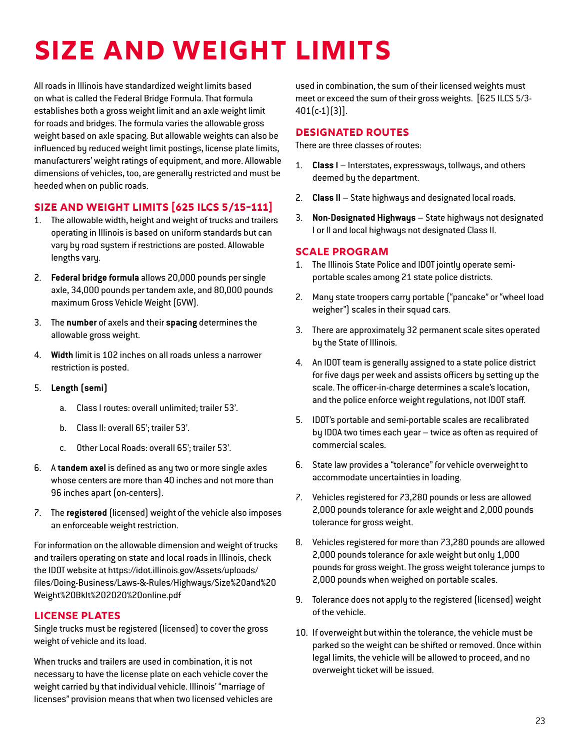# **Size and Weight Limits**

All roads in Illinois have standardized weight limits based on what is called the Federal Bridge Formula. That formula establishes both a gross weight limit and an axle weight limit for roads and bridges. The formula varies the allowable gross weight based on axle spacing. But allowable weights can also be influenced by reduced weight limit postings, license plate limits, manufacturers' weight ratings of equipment, and more. Allowable dimensions of vehicles, too, are generally restricted and must be heeded when on public roads.

# **Size and Weight Limits [625 ILCS 5/15-111]**

- 1. The allowable width, height and weight of trucks and trailers operating in Illinois is based on uniform standards but can vary by road system if restrictions are posted. Allowable lengths vary.
- 2. **Federal bridge formula** allows 20,000 pounds per single axle, 34,000 pounds per tandem axle, and 80,000 pounds maximum Gross Vehicle Weight (GVW).
- 3. The **number** of axels and their **spacing** determines the allowable gross weight.
- 4. **Width** limit is 102 inches on all roads unless a narrower restriction is posted.
- 5. **Length (semi)**
	- a. Class I routes: overall unlimited; trailer 53'.
	- b. Class II: overall 65'; trailer 53'.
	- c. Other Local Roads: overall 65'; trailer 53'.
- 6. A **tandem axel** is defined as any two or more single axles whose centers are more than 40 inches and not more than 96 inches apart (on-centers).
- 7. The **registered** (licensed) weight of the vehicle also imposes an enforceable weight restriction.

For information on the allowable dimension and weight of trucks and trailers operating on state and local roads in Illinois, check the IDOT website at [https://idot.illinois.gov/Assets/uploads/](https://idot.illinois.gov/Assets/uploads/files/Doing-Business/Laws-&-Rules/Highways/Size and Weight Bklt 2020 online.pdf) [files/Doing-Business/Laws-&-Rules/Highways/Size%20and%20](https://idot.illinois.gov/Assets/uploads/files/Doing-Business/Laws-&-Rules/Highways/Size and Weight Bklt 2020 online.pdf) [Weight%20Bklt%202020%20online.pdf](https://idot.illinois.gov/Assets/uploads/files/Doing-Business/Laws-&-Rules/Highways/Size and Weight Bklt 2020 online.pdf)

# **License Plates**

Single trucks must be registered (licensed) to cover the gross weight of vehicle and its load.

When trucks and trailers are used in combination, it is not necessary to have the license plate on each vehicle cover the weight carried by that individual vehicle. Illinois' "marriage of licenses" provision means that when two licensed vehicles are used in combination, the sum of their licensed weights must meet or exceed the sum of their gross weights. [625 ILCS 5/3- 401(c-1)(3)].

# **Designated Routes**

There are three classes of routes:

- 1. **Class I**  Interstates, expressways, tollways, and others deemed by the department.
- 2. **Class II**  State highways and designated local roads.
- 3. **Non**-**Designated Highways** State highways not designated I or II and local highways not designated Class II.

# **Scale Program**

- 1. The Illinois State Police and IDOT jointly operate semiportable scales among 21 state police districts.
- 2. Many state troopers carry portable ("pancake" or "wheel load weigher") scales in their squad cars.
- 3. There are approximately 32 permanent scale sites operated by the State of Illinois.
- 4. An IDOT team is generally assigned to a state police district for five days per week and assists officers by setting up the scale. The officer-in-charge determines a scale's location, and the police enforce weight regulations, not IDOT staff.
- 5. IDOT's portable and semi-portable scales are recalibrated by IDOA two times each year – twice as often as required of commercial scales.
- 6. State law provides a "tolerance" for vehicle overweight to accommodate uncertainties in loading.
- 7. Vehicles registered for 73,280 pounds or less are allowed 2,000 pounds tolerance for axle weight and 2,000 pounds tolerance for gross weight.
- 8. Vehicles registered for more than 73,280 pounds are allowed 2,000 pounds tolerance for axle weight but only 1,000 pounds for gross weight. The gross weight tolerance jumps to 2,000 pounds when weighed on portable scales.
- 9. Tolerance does not apply to the registered (licensed) weight of the vehicle.
- 10. If overweight but within the tolerance, the vehicle must be parked so the weight can be shifted or removed. Once within legal limits, the vehicle will be allowed to proceed, and no overweight ticket will be issued.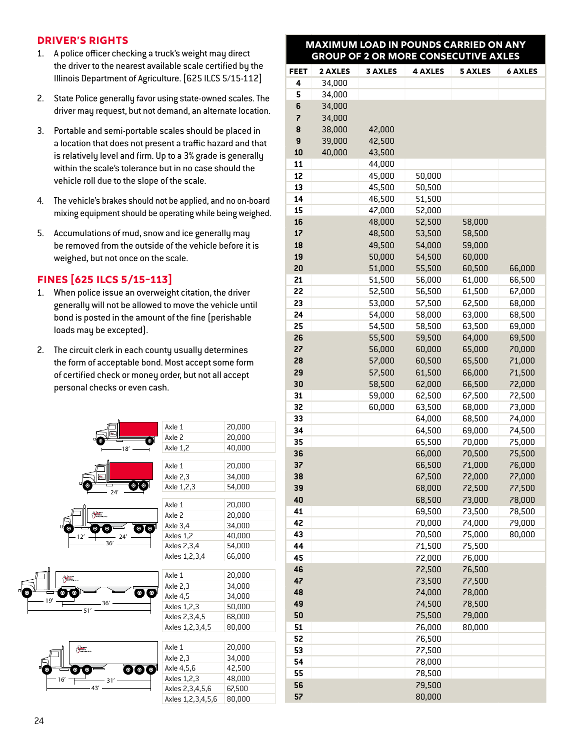### **Driver's Rights**

- 1. A police officer checking a truck's weight may direct the driver to the nearest available scale certified by the Illinois Department of Agriculture. [625 ILCS 5/15-112]
- 2. State Police generally favor using state-owned scales. The driver may request, but not demand, an alternate location.
- 3. Portable and semi-portable scales should be placed in a location that does not present a traffic hazard and that is relatively level and firm. Up to a 3% grade is generally within the scale's tolerance but in no case should the vehicle roll due to the slope of the scale.
- 4. The vehicle's brakes should not be applied, and no on-board mixing equipment should be operating while being weighed.
- 5. Accumulations of mud, snow and ice generally may be removed from the outside of the vehicle before it is weighed, but not once on the scale.

## **Fines [625 ILCS 5/15-113]**

- 1. When police issue an overweight citation, the driver generally will not be allowed to move the vehicle until bond is posted in the amount of the fine (perishable loads may be excepted).
- 2. The circuit clerk in each county usually determines the form of acceptable bond. Most accept some form of certified check or money order, but not all accept personal checks or even cash.



| Ю.  | $\circ$ |
|-----|---------|
| 24' | ō       |







| Axle 1          | 20,000<br>20,000 |  |  |  |  |  |
|-----------------|------------------|--|--|--|--|--|
| Axle 2          |                  |  |  |  |  |  |
| Axle 1,2        | 40,000           |  |  |  |  |  |
|                 |                  |  |  |  |  |  |
| Axle 1          | 20,000           |  |  |  |  |  |
| Axle 2,3        | 34,000           |  |  |  |  |  |
| Axle 1,2,3      | 54,000           |  |  |  |  |  |
|                 |                  |  |  |  |  |  |
| Axle 1          | 20,000           |  |  |  |  |  |
| Axle 2          | 20,000           |  |  |  |  |  |
| Axle 3,4        | 34,000           |  |  |  |  |  |
| Axles 1,2       | 40,000           |  |  |  |  |  |
| Axles 2,3,4     | 54,000           |  |  |  |  |  |
| Axles 1,2,3,4   | 66,000           |  |  |  |  |  |
|                 |                  |  |  |  |  |  |
| Axle 1          | 20,000           |  |  |  |  |  |
| Axle 2,3        | 34,000           |  |  |  |  |  |
| Axle 4,5        | 34,000           |  |  |  |  |  |
| Axles 1,2,3     | 50,000           |  |  |  |  |  |
| Axles 2,3,4,5   | 68,000           |  |  |  |  |  |
| Axles 1,2,3,4,5 | 80,000           |  |  |  |  |  |

| Axle 1            | 20,000 |
|-------------------|--------|
| Axle 2,3          | 34,000 |
| Axle 4,5,6        | 42.500 |
| Axles 1,2,3       | 48.000 |
| Axles 2,3,4,5,6   | 67.500 |
| Axles 1,2,3,4,5,6 | 80.000 |

#### **MAXIMUM LOAD IN POUNDS CARRIED ON ANY GROUP OF 2 OR MORE CONSECUTIVE AXLES**

| <b>FEET</b> | 2 AXLES | <b>3 AXLES</b> | <b>4 AXLES</b>   | <b>5 AXLES</b>   | <b>6 AXLES</b> |  |  |
|-------------|---------|----------------|------------------|------------------|----------------|--|--|
| 4           | 34,000  |                |                  |                  |                |  |  |
| 5           | 34,000  |                |                  |                  |                |  |  |
| 6           | 34,000  |                |                  |                  |                |  |  |
| 7           | 34,000  |                |                  |                  |                |  |  |
| 8           | 38,000  | 42,000         |                  |                  |                |  |  |
| 9           | 39,000  | 42,500         |                  |                  |                |  |  |
| 10          | 40,000  | 43,500         |                  |                  |                |  |  |
| 11          |         | 44,000         |                  |                  |                |  |  |
| 12          |         | 45,000         | 50,000           |                  |                |  |  |
| 13          |         | 45,500         | 50,500           |                  |                |  |  |
| 14          |         | 46,500         | 51,500           |                  |                |  |  |
| 15          |         | 47,000         | 52,000           |                  |                |  |  |
| 16          |         | 48,000         | 52,500           | 58,000           |                |  |  |
| 17          |         | 48,500         | 53,500           | 58,500           |                |  |  |
| 18          |         | 49,500         | 54,000           | 59,000           |                |  |  |
| 19          |         | 50,000         | 54,500           | 60,000           |                |  |  |
| 20          |         | 51,000         | 55,500           | 60,500           | 66,000         |  |  |
| 21          |         | 51,500         | 56,000           | 61,000           | 66,500         |  |  |
| 22          |         | 52,500         | 56,500           | 61,500           | 67,000         |  |  |
| 23          |         | 53,000         | 57,500           | 62,500           | 68,000         |  |  |
| 24          |         | 54,000         | 58,000           | 63,000           | 68,500         |  |  |
| 25          |         | 54,500         | 58,500           | 63,500           | 69,000         |  |  |
| 26          |         | 55,500         | 59,500           | 64,000           | 69,500         |  |  |
| 27          |         | 56,000         | 60,000           | 65,000           | 70,000         |  |  |
| 28          |         | 57,000         | 60,500           | 65,500           | 71,000         |  |  |
| 29          |         | 57,500         | 61,500           | 66,000           | 71,500         |  |  |
| 30          |         | 58,500         | 62,000           | 66,500           | 72,000         |  |  |
| 31          |         | 59,000         | 62,500           | 67,500           | 72,500         |  |  |
| 32          |         | 60,000         | 63,500           | 68,000           | 73,000         |  |  |
| 33          |         |                | 64,000           | 68,500           | 74,000         |  |  |
| 34          |         |                | 64,500           | 69,000           | 74,500         |  |  |
| 35          |         |                | 65,500           | 70,000           | 75,000         |  |  |
| 36          |         |                | 66,000           | 70,500           | 75,500         |  |  |
| 37          |         |                | 66,500           | 71,000           | 76,000         |  |  |
| 38          |         |                | 67,500           | 72,000           | 77,000         |  |  |
| 39          |         |                | 68,000           | 72,500           | 77,500         |  |  |
| 40          |         |                | 68,500           | 73,000           | 78,000         |  |  |
| 41          |         |                | 69,500           | 73,500           | 78,500         |  |  |
| 42          |         |                | 70,000           | 74,000           | 79,000         |  |  |
| 43          |         |                | 70,500           | 75,000           | 80,000         |  |  |
| 44          |         |                | 71,500           | 75,500           |                |  |  |
| 45          |         |                | 72,000           | 76,000           |                |  |  |
| 46<br>47    |         |                | 72,500           | 76,500           |                |  |  |
|             |         |                | 73,500           | 77,500           |                |  |  |
| 48<br>49    |         |                | 74,000           | 78,000<br>78,500 |                |  |  |
| 50          |         |                | 74,500<br>75,500 | 79,000           |                |  |  |
| 51          |         |                | 76,000           | 80,000           |                |  |  |
| 52          |         |                | 76,500           |                  |                |  |  |
| 53          |         |                | 77,500           |                  |                |  |  |
| 54          |         |                | 78,000           |                  |                |  |  |
| 55          |         |                | 78,500           |                  |                |  |  |
| 56          |         |                | 79,500           |                  |                |  |  |
| 57          |         |                | 80,000           |                  |                |  |  |